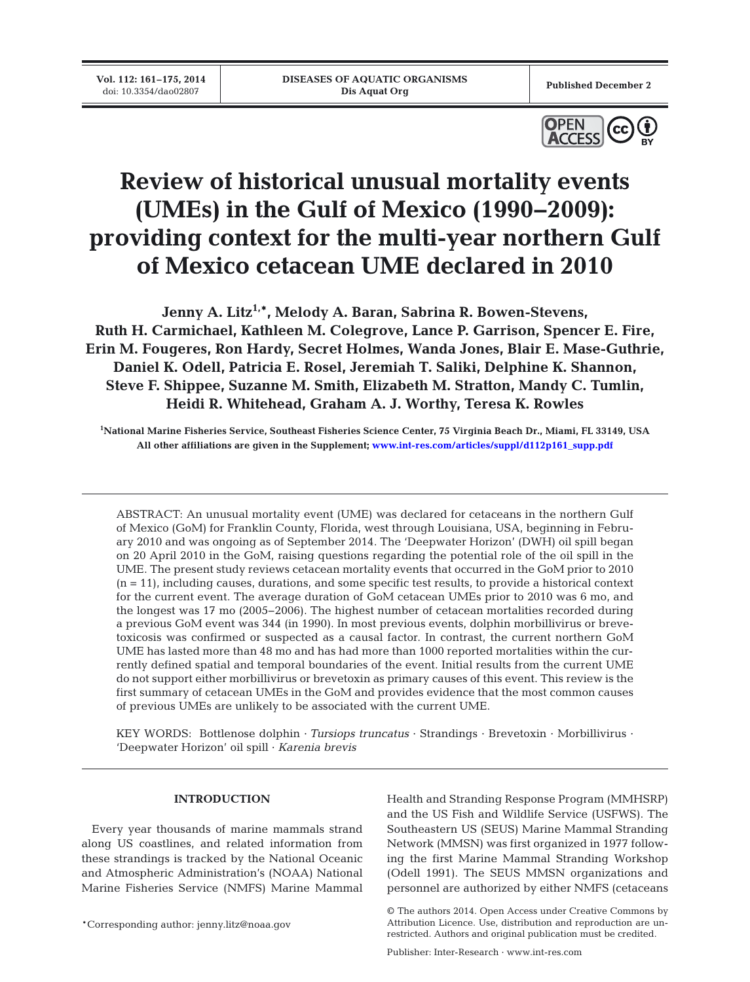**Vol. 112: 161–175, 2014**<br>doi: 10.3354/dao02807



# **Review of historical unusual mortality events (UMEs) in the Gulf of Mexico (1990−2009): providing context for the multi-year northern Gulf of Mexico cetacean UME declared in 2010**

Jenny A. Litz<sup>1,\*</sup>, Melody A. Baran, Sabrina R. Bowen-Stevens, **Ruth H. Carmichael, Kathleen M. Colegrove, Lance P. Garrison, Spencer E. Fire, Erin M. Fougeres, Ron Hardy, Secret Holmes, Wanda Jones, Blair E. Mase-Guthrie, Daniel K. Odell, Patricia E. Rosel, Jeremiah T. Saliki, Delphine K. Shannon, Steve F. Shippee, Suzanne M. Smith, Elizabeth M. Stratton, Mandy C. Tumlin, Heidi R. Whitehead, Graham A. J. Worthy, Teresa K. Rowles**

**1 National Marine Fisheries Service, Southeast Fisheries Science Center, 75 Virginia Beach Dr., Miami, FL 33149, USA All other affiliations are given in the Supplement[; www.int-res.com/articles/suppl/d112p161\\_supp.pdf](http://www.int-res.com/articles/suppl/d112p161_supp.pdf)**

ABSTRACT: An unusual mortality event (UME) was declared for cetaceans in the northern Gulf of Mexico (GoM) for Franklin County, Florida, west through Louisiana, USA, beginning in February 2010 and was ongoing as of September 2014. The 'Deepwater Horizon' (DWH) oil spill began on 20 April 2010 in the GoM, raising questions regarding the potential role of the oil spill in the UME. The present study reviews cetacean mortality events that occurred in the GoM prior to 2010 (n = 11), including causes, durations, and some specific test results, to provide a historical context for the current event. The average duration of GoM cetacean UMEs prior to 2010 was 6 mo, and the longest was 17 mo (2005−2006). The highest number of cetacean mortalities recorded during a previous GoM event was 344 (in 1990). In most previous events, dolphin morbillivirus or brevetoxicosis was confirmed or suspected as a causal factor. In contrast, the current northern GoM UME has lasted more than 48 mo and has had more than 1000 reported mortalities within the currently defined spatial and temporal boundaries of the event. Initial results from the current UME do not support either morbillivirus or brevetoxin as primary causes of this event. This review is the first summary of cetacean UMEs in the GoM and provides evidence that the most common causes of previous UMEs are unlikely to be associated with the current UME.

KEY WORDS: Bottlenose dolphin · *Tursiops truncatus* · Strandings · Brevetoxin · Morbillivirus · 'Deepwater Horizon' oil spill · *Karenia brevis*

## **INTRODUCTION**

Every year thousands of marine mammals strand along US coastlines, and related information from these strandings is tracked by the National Oceanic and Atmospheric Administration's (NOAA) National Marine Fisheries Service (NMFS) Marine Mammal

\*Corresponding author: jenny.litz@noaa.gov

Health and Stranding Response Program (MMHSRP) and the US Fish and Wildlife Service (USFWS). The Southeastern US (SEUS) Marine Mammal Stranding Network (MMSN) was first organized in 1977 following the first Marine Mammal Stranding Workshop (Odell 1991). The SEUS MMSN organizations and personnel are authorized by either NMFS (cetaceans

Publisher: Inter-Research · www.int-res.com

<sup>©</sup> The authors 2014. Open Access under Creative Commons by Attribution Licence. Use, distribution and reproduction are unrestricted. Authors and original publication must be credited.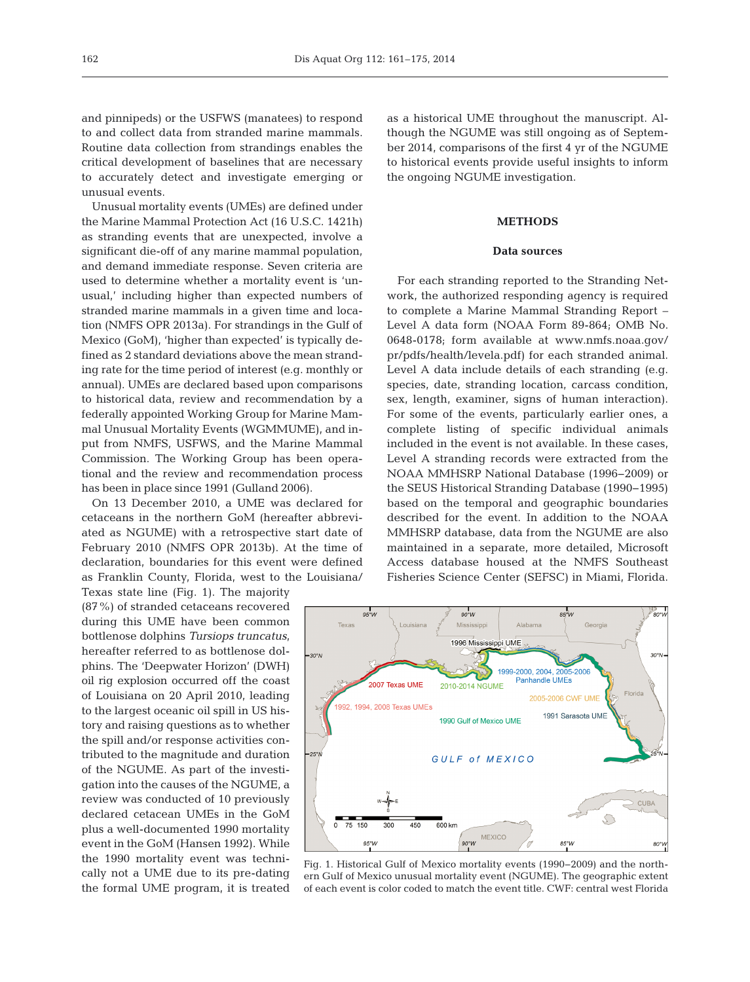and pinnipeds) or the USFWS (manatees) to respond to and collect data from stranded marine mammals. Routine data collection from strandings enables the critical development of baselines that are necessary to accurately detect and investigate emerging or unusual events.

Unusual mortality events (UMEs) are defined under the Marine Mammal Protection Act (16 U.S.C. 1421h) as stranding events that are unexpected, involve a significant die-off of any marine mammal population, and demand immediate response. Seven criteria are used to determine whether a mortality event is 'unusual,' including higher than expected numbers of stranded marine mammals in a given time and location (NMFS OPR 2013a). For strandings in the Gulf of Mexico (GoM), 'higher than expected' is typically defined as 2 standard deviations above the mean stranding rate for the time period of interest (e.g. monthly or annual). UMEs are declared based upon comparisons to historical data, review and recommendation by a federally appointed Working Group for Marine Mammal Unusual Mortality Events (WGMMUME), and input from NMFS, USFWS, and the Marine Mammal Commission. The Working Group has been operational and the review and recommendation process has been in place since 1991 (Gulland 2006).

On 13 December 2010, a UME was declared for cetaceans in the northern GoM (hereafter abbreviated as NGUME) with a retrospective start date of February 2010 (NMFS OPR 2013b). At the time of declaration, boundaries for this event were defined as Franklin County, Florida, west to the Louisiana/

Texas state line (Fig. 1). The majority (87%) of stranded cetaceans recovered during this UME have been common bottlenose dolphins *Tursiops truncatus*, hereafter referred to as bottlenose dolphins. The 'Deepwater Horizon' (DWH) oil rig explosion occurred off the coast of Louisiana on 20 April 2010, leading to the largest oceanic oil spill in US history and raising questions as to whether the spill and/or response activities contributed to the magnitude and duration of the NGUME. As part of the investigation into the causes of the NGUME, a review was conducted of 10 previously declared cetacean UMEs in the GoM plus a well-documented 1990 mortality event in the GoM (Hansen 1992). While the 1990 mortality event was technically not a UME due to its pre-dating the formal UME program, it is treated as a historical UME throughout the manuscript. Although the NGUME was still ongoing as of September 2014, comparisons of the first 4 yr of the NGUME to historical events provide useful insights to inform the ongoing NGUME investigation.

## **METHODS**

## **Data sources**

For each stranding reported to the Stranding Network, the authorized responding agency is required to complete a Marine Mammal Stranding Report – Level A data form (NOAA Form 89-864; OMB No. 0648-0178; form available at www. nmfs. noaa. gov/ pr/pdfs/health/levela.pdf) for each stranded animal. Level A data include details of each stranding (e.g. species, date, stranding location, carcass condition, sex, length, examiner, signs of human interaction). For some of the events, particularly earlier ones, a complete listing of specific individual animals included in the event is not available. In these cases, Level A stranding records were extracted from the NOAA MMHSRP National Database (1996−2009) or the SEUS Historical Stranding Database (1990−1995) based on the temporal and geographic boundaries described for the event. In addition to the NOAA MMHSRP database, data from the NGUME are also maintained in a separate, more detailed, Microsoft Access database housed at the NMFS Southeast Fisheries Science Center (SEFSC) in Miami, Florida.



Fig. 1. Historical Gulf of Mexico mortality events (1990−2009) and the northern Gulf of Mexico unusual mortality event (NGUME). The geographic extent of each event is color coded to match the event title. CWF: central west Florida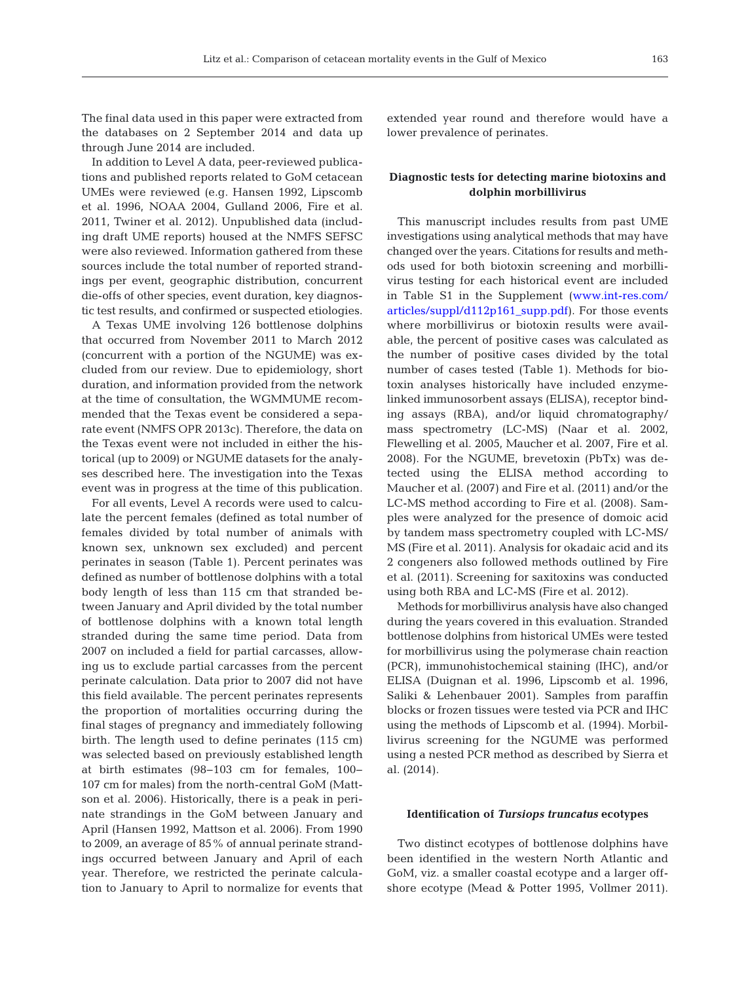The final data used in this paper were extracted from the databases on 2 September 2014 and data up through June 2014 are included.

In addition to Level A data, peer-reviewed publications and published reports related to GoM cetacean UMEs were reviewed (e.g. Hansen 1992, Lipscomb et al. 1996, NOAA 2004, Gulland 2006, Fire et al. 2011, Twiner et al. 2012). Unpublished data (including draft UME reports) housed at the NMFS SEFSC were also reviewed. Information gathered from these sources include the total number of reported strandings per event, geographic distribution, concurrent die-offs of other species, event duration, key diagnostic test results, and confirmed or suspected etiologies.

A Texas UME involving 126 bottlenose dolphins that occurred from November 2011 to March 2012 (concurrent with a portion of the NGUME) was ex cluded from our review. Due to epidemiology, short duration, and information provided from the network at the time of consultation, the WGMMUME recommended that the Texas event be considered a separate event (NMFS OPR 2013c). Therefore, the data on the Texas event were not included in either the historical (up to 2009) or NGUME datasets for the analyses described here. The investigation into the Texas event was in progress at the time of this publication.

For all events, Level A records were used to calculate the percent females (defined as total number of females divided by total number of animals with known sex, unknown sex excluded) and percent perinates in season (Table 1). Percent perinates was defined as number of bottlenose dolphins with a total body length of less than 115 cm that stranded be tween January and April divided by the total number of bottlenose dolphins with a known total length stranded during the same time period. Data from 2007 on included a field for partial carcasses, allowing us to exclude partial carcasses from the percent perinate calculation. Data prior to 2007 did not have this field available. The percent perinates represents the proportion of mortalities occurring during the final stages of pregnancy and immediately following birth. The length used to define perinates (115 cm) was selected based on previously established length at birth estimates (98−103 cm for females, 100− 107 cm for males) from the north-central GoM (Mattson et al. 2006). Historically, there is a peak in perinate strandings in the GoM between January and April (Hansen 1992, Mattson et al. 2006). From 1990 to 2009, an average of 85% of annual perinate strandings occurred between January and April of each year. Therefore, we restricted the perinate calculation to January to April to normalize for events that extended year round and therefore would have a lower prevalence of perinates.

# **Diagnostic tests for detecting marine biotoxins and dolphin morbillivirus**

This manuscript includes results from past UME investigations using analytical methods that may have changed over the years. Citations for results and methods used for both biotoxin screening and morbillivirus testing for each historical event are included in Table S1 in the Supplement (www.int-res.com/ articles/suppl/d112p161\_supp.pdf). For those events where morbillivirus or biotoxin results were available, the percent of positive cases was calculated as the number of positive cases divided by the total number of cases tested (Table 1). Methods for biotoxin analyses historically have included enzymelinked immunosorbent assays (ELISA), receptor bind ing assays (RBA), and/or liquid chromatography/ mass spectrometry (LC-MS) (Naar et al. 2002, Flewelling et al. 2005, Maucher et al. 2007, Fire et al. 2008). For the NGUME, brevetoxin (PbTx) was de tected using the ELISA method according to Maucher et al. (2007) and Fire et al. (2011) and/or the LC-MS method according to Fire et al. (2008). Samples were analyzed for the presence of domoic acid by tandem mass spectrometry coupled with LC-MS/ MS (Fire et al. 2011). Analysis for okadaic acid and its 2 congeners also followed methods outlined by Fire et al. (2011). Screening for saxitoxins was conducted using both RBA and LC-MS (Fire et al. 2012).

Methods for morbillivirus analysis have also changed during the years covered in this evaluation. Stranded bottlenose dolphins from historical UMEs were tested for morbillivirus using the polymerase chain reaction (PCR), immunohistochemical staining (IHC), and/or ELISA (Duignan et al. 1996, Lipscomb et al. 1996, Saliki & Lehenbauer 2001). Samples from paraffin blocks or frozen tissues were tested via PCR and IHC using the methods of Lipscomb et al. (1994). Morbillivirus screening for the NGUME was performed using a nested PCR method as described by Sierra et al. (2014).

#### **Identification of** *Tursiops truncatus* **ecotypes**

Two distinct ecotypes of bottlenose dolphins have been identified in the western North Atlantic and GoM, viz. a smaller coastal ecotype and a larger offshore ecotype (Mead & Potter 1995, Vollmer 2011).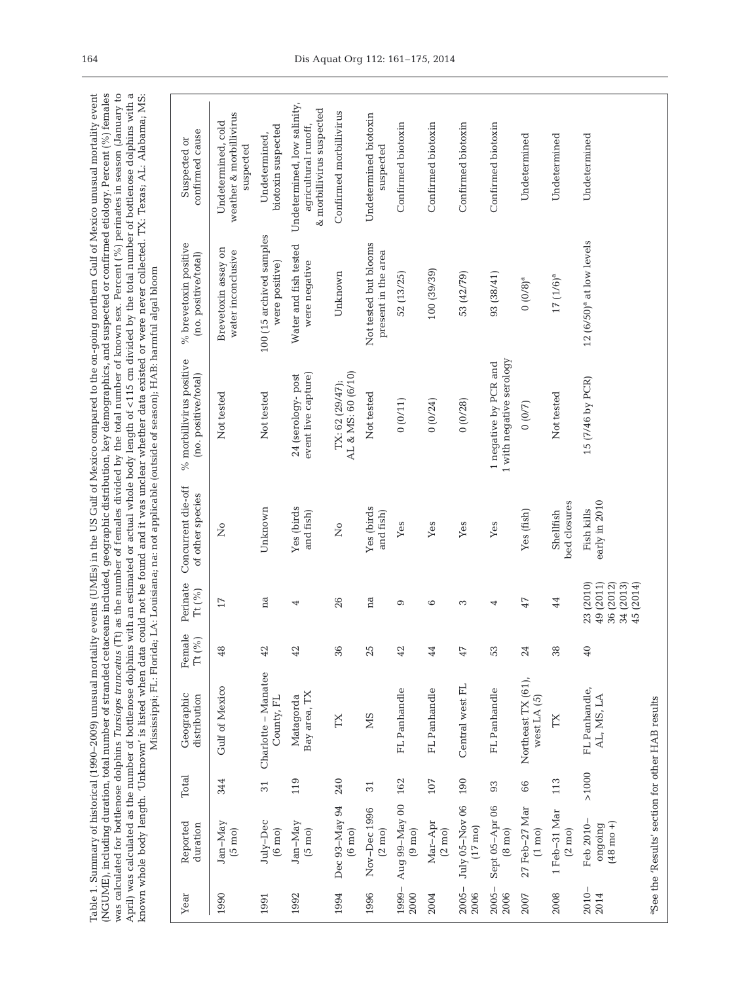was calculated for bottlenose dolphins *Tursiops truncatus* (Tt) as the number of females divided by the total number of known sex. Percent (%) perinates in season (January to April) was calculated as the number of bottlen Table 1. Summary of historical (1990–2009) unusual mortality events (UMEs) in the US Gulf of Mexico compared to the on-going northern Gulf of Mexico unusual mortality event (NGUME), including duration, total number of stranded cetaceans included, geographic distribution, key demographics, and suspected or confirmed etiology. Percent (%) females known whole body length. 'Unknown' is listed when data could not be found and it was unclear whether data existed or were never collected. TX: Texas; AL: Alabama; MS: Table 1. Summary of historical (1990−2009) unusual mortality events (UMEs) in the US Gulf of Mexico compared to the on-going northern Gulf of Mexico unusual mortality event (NGUME), including duration, total number of stranded cetaceans included, geographic distribution, key demographics, and suspected or confirmed etiology. Percent (%) females was calculated for bottlenose dolphins *Tursiops truncatus* (Tt) as the number of females divided by the total number of known sex. Percent (%) perinates in season (January to April) was calculated as the number of bottlenose dolphins with an estimated or actual whole body length of <115 cm divided by the total number of bottlenose dolphins with a Mississippi; FL: Florida; LA: Louisiana; na: not applicable (outside of season); HAB: harmful algal bloom

Mississippi; FL: Florida; LA: Louisiana; na: not applicable (outside of season); HAB: harmful algal bloom

| Year             | Reported<br>duration                             | Total   | Geographic<br>distribution          | Female<br>Tt $( \% )$ | Perinate<br>Tt $(%)$                                          | Concurrent die-off<br>of other species | % morbillivirus positive<br>(no. positive/total)  | % brevetoxin positive<br>(no. positive/total) | confirmed cause<br>Suspected or                                                  |  |
|------------------|--------------------------------------------------|---------|-------------------------------------|-----------------------|---------------------------------------------------------------|----------------------------------------|---------------------------------------------------|-----------------------------------------------|----------------------------------------------------------------------------------|--|
| 1990             | Jan-May<br>$(5 \text{ mo})$                      | 344     | Gulf of Mexico                      | 48                    | 17                                                            | $\tilde{z}$                            | Not tested                                        | Brevetoxin assay on<br>water inconclusive     | weather & morbillivirus<br>Undetermined, cold<br>suspected                       |  |
| 1991             | July-Dec<br>$(6 \text{ }\mathrm{mo})$            | 31      | Charlotte - Manatee<br>County, FL   | 42                    | na                                                            | Unknown                                | Not tested                                        | 100 (15 archived samples<br>were positive)    | biotoxin suspected<br>Undetermined,                                              |  |
| 1992             | Jan-May<br>$(5 \text{ mo})$                      | 119     | Bay area, TX<br>Matagorda           | 42                    | 4                                                             | Yes (birds<br>and fish)                | event live capture)<br>24 (serology-post          | Water and fish tested<br>were negative        | Undetermined, low salinity,<br>& morbillivirus suspected<br>agricultural runoff, |  |
| 1994             | Dec 93-May 94<br>$(6 \text{ mo})$                | 240     | TΧ                                  | 36                    | 26                                                            | $\mathsf{S}^{\mathsf{o}}$              | AL & MS: 60 (6/10)<br>TX: 62 (29/47);             | Unknown                                       | Confirmed morbillivirus                                                          |  |
| 1996             | Nov-Dec 1996<br>$(2 \text{ mo})$                 | 31      | SM                                  | 25                    | na                                                            | Yes (birds<br>and fish)                | Not tested                                        | Not tested but blooms<br>present in the area  | Undetermined biotoxin<br>suspected                                               |  |
| 1999-<br>2000    | Aug 99-May 00<br>$(9 \text{ mo})$                | 162     | FL Panhandle                        | 42                    | ග                                                             | Yes                                    | $0\ (0/11)$                                       | 52 (13/25)                                    | Confirmed biotoxin                                                               |  |
| 2004             | Mar-Apr<br>$(2 \text{ mo})$                      | 107     | FL Panhandle                        | 44                    | 6                                                             | Yes                                    | 0(0/24)                                           | 100 (39/39)                                   | Confirmed biotoxin                                                               |  |
| $2005 -$<br>2006 | July 05-Nov 06<br>$(17 \text{ mo})$              | 190     | Central west FL                     | 47                    | S                                                             | Yes                                    | 0(0/28)                                           | 53 (42/79)                                    | Confirmed biotoxin                                                               |  |
| $2005 -$<br>2006 | Sept 05-Apr 06<br>$(8 \text{ mo})$               | 93      | FL Panhandle                        | 53                    | 4                                                             | Yes                                    | 1 with negative serology<br>1 negative by PCR and | 93 (38/41)                                    | Confirmed biotoxin                                                               |  |
| 2007             | 27 Feb-27 Mar<br>$(1 \text{ mo})$                | 66      | Northeast TX (61),<br>west LA $(5)$ | 24                    | 47                                                            | Yes (fish)                             | 0(0/7)                                            | $0 (0/8)^a$                                   | Undetermined                                                                     |  |
| 2008             | 1 Feb-31 Mar<br>$(2 \text{ mo})$                 | 113     | TΧ                                  | 38                    | 44                                                            | bed closures<br>Shellfish              | Not tested                                        | 17 (1/6) <sup>a</sup>                         | Undetermined                                                                     |  |
| $2010 -$<br>2014 | Feb 2010-<br>$(48 \text{ mo} +)$<br>puropuo      | $>1000$ | FL Panhandle,<br>AL, MS, LA         | 40                    | 23 (2010)<br>49 (2011)<br>34 (2013)<br>36 (2012)<br>45 (2014) | early in 2010<br>Fish kills            | 15 (7/46 by PCR)                                  | $12 (6/50)^a$ at low levels                   | Undetermined                                                                     |  |
|                  | aSee the 'Results' section for other HAB results |         |                                     |                       |                                                               |                                        |                                                   |                                               |                                                                                  |  |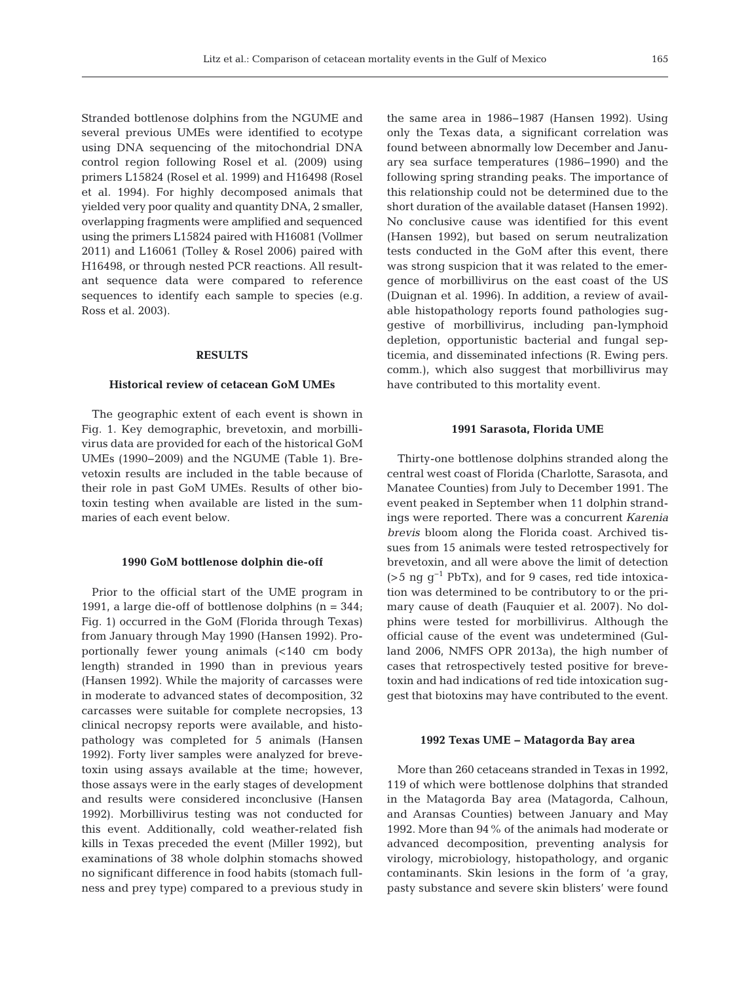Stranded bottlenose dolphins from the NGUME and several previous UMEs were identified to ecotype using DNA sequencing of the mitochondrial DNA control region following Rosel et al. (2009) using primers L15824 (Rosel et al. 1999) and H16498 (Rosel et al. 1994). For highly decomposed animals that yielded very poor quality and quantity DNA, 2 smaller, overlapping fragments were amplified and sequenced using the primers L15824 paired with H16081 (Vollmer 2011) and L16061 (Tolley & Rosel 2006) paired with H16498, or through nested PCR reactions. All resultant sequence data were compared to reference sequences to identify each sample to species (e.g. Ross et al. 2003).

## **RESULTS**

#### **Historical review of cetacean GoM UMEs**

The geographic extent of each event is shown in Fig. 1. Key demographic, brevetoxin, and morbillivirus data are provided for each of the historical GoM UMEs (1990−2009) and the NGUME (Table 1). Bre vetoxin results are included in the table because of their role in past GoM UMEs. Results of other bio toxin testing when available are listed in the summaries of each event below.

## **1990 GoM bottlenose dolphin die-off**

Prior to the official start of the UME program in 1991, a large die-off of bottlenose dolphins ( $n = 344$ ; Fig. 1) occurred in the GoM (Florida through Texas) from January through May 1990 (Hansen 1992). Proportionally fewer young animals (<140 cm body length) stranded in 1990 than in previous years (Hansen 1992). While the majority of carcasses were in moderate to advanced states of decomposition, 32 carcasses were suitable for complete necropsies, 13 clinical necropsy reports were available, and histopathology was completed for 5 animals (Hansen 1992). Forty liver samples were analyzed for brevetoxin using assays available at the time; however, those assays were in the early stages of development and results were considered inconclusive (Hansen 1992). Morbillivirus testing was not conducted for this event. Additionally, cold weather-related fish kills in Texas preceded the event (Miller 1992), but examinations of 38 whole dolphin stomachs showed no significant difference in food habits (stomach fullness and prey type) compared to a previous study in the same area in 1986−1987 (Hansen 1992). Using only the Texas data, a significant correlation was found between abnormally low December and January sea surface temperatures (1986−1990) and the following spring stranding peaks. The importance of this relationship could not be determined due to the short duration of the available dataset (Hansen 1992). No conclusive cause was identified for this event (Hansen 1992), but based on serum neutralization tests conducted in the GoM after this event, there was strong suspicion that it was related to the emergence of morbillivirus on the east coast of the US (Duignan et al. 1996). In addition, a review of available histopathology reports found pathologies suggestive of morbillivirus, including pan-lymphoid depletion, opportunistic bacterial and fungal septicemia, and disseminated infections (R. Ewing pers. comm.), which also suggest that morbillivirus may have contributed to this mortality event.

#### **1991 Sarasota, Florida UME**

Thirty-one bottlenose dolphins stranded along the central west coast of Florida (Charlotte, Sarasota, and Manatee Counties) from July to December 1991. The event peaked in September when 11 dolphin strandings were reported. There was a concurrent *Karenia brevis* bloom along the Florida coast. Archived tissues from 15 animals were tested retrospectively for brevetoxin, and all were above the limit of detection  $(>5 \text{ ng } q^{-1} \text{ PbTx})$ , and for 9 cases, red tide intoxication was determined to be contributory to or the primary cause of death (Fauquier et al. 2007). No dolphins were tested for morbillivirus. Although the official cause of the event was undetermined (Gulland 2006, NMFS OPR 2013a), the high number of cases that retrospectively tested positive for brevetoxin and had indications of red tide intoxication suggest that biotoxins may have contributed to the event.

#### **1992 Texas UME − Matagorda Bay area**

More than 260 cetaceans stranded in Texas in 1992, 119 of which were bottlenose dolphins that stranded in the Matagorda Bay area (Matagorda, Calhoun, and Aransas Counties) between January and May 1992. More than 94% of the animals had moderate or advanced decomposition, preventing analysis for virology, microbiology, histopathology, and organic contaminants. Skin lesions in the form of 'a gray, pasty substance and severe skin blisters' were found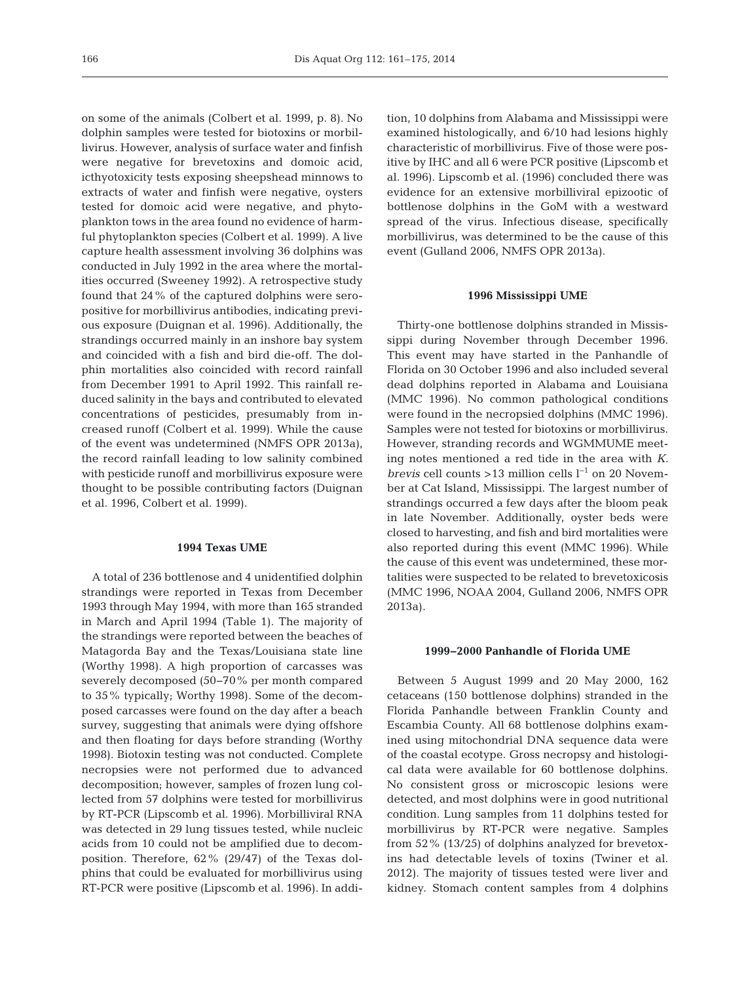on some of the animals (Colbert et al. 1999, p. 8). No dolphin samples were tested for biotoxins or morbillivirus. However, analysis of surface water and finfish were negative for brevetoxins and domoic acid, icthyotoxicity tests exposing sheepshead minnows to extracts of water and finfish were negative, oysters tested for domoic acid were negative, and phytoplankton tows in the area found no evidence of harmful phytoplankton species (Colbert et al. 1999). A live capture health assessment involving 36 dolphins was conducted in July 1992 in the area where the mortalities occurred (Sweeney 1992). A retrospective study found that 24% of the captured dolphins were seropositive for morbillivirus antibodies, indicating previous exposure (Duignan et al. 1996). Additionally, the strandings occurred mainly in an inshore bay system and coincided with a fish and bird die-off. The dolphin mortalities also coincided with record rainfall from December 1991 to April 1992. This rainfall re duced salinity in the bays and contributed to elevated concentrations of pesticides, presumably from increased runoff (Colbert et al. 1999). While the cause of the event was undetermined (NMFS OPR 2013a), the record rainfall leading to low salinity combined with pesticide runoff and morbillivirus exposure were thought to be possible contributing factors (Duignan et al. 1996, Colbert et al. 1999).

## **1994 Texas UME**

A total of 236 bottlenose and 4 unidentified dolphin strandings were reported in Texas from December 1993 through May 1994, with more than 165 stranded in March and April 1994 (Table 1). The majority of the strandings were reported between the beaches of Matagorda Bay and the Texas/Louisiana state line (Worthy 1998). A high proportion of carcasses was severely decomposed (50−70% per month compared to 35% typically; Worthy 1998). Some of the decomposed carcasses were found on the day after a beach survey, suggesting that animals were dying offshore and then floating for days before stranding (Worthy 1998). Biotoxin testing was not conducted. Complete necropsies were not performed due to advanced decomposition; however, samples of frozen lung collected from 57 dolphins were tested for morbillivirus by RT-PCR (Lipscomb et al. 1996). Morbilliviral RNA was detected in 29 lung tissues tested, while nucleic acids from 10 could not be amplified due to decomposition. Therefore, 62% (29/47) of the Texas dolphins that could be evaluated for morbillivirus using RT-PCR were positive (Lipscomb et al. 1996). In addition, 10 dolphins from Alabama and Mississippi were examined histologically, and 6/10 had lesions highly characteristic of morbillivirus. Five of those were positive by IHC and all 6 were PCR positive (Lipscomb et al. 1996). Lipscomb et al. (1996) concluded there was evidence for an extensive morbilliviral epizootic of bottlenose dolphins in the GoM with a westward spread of the virus. Infectious disease, specifically morbillivirus, was determined to be the cause of this event (Gulland 2006, NMFS OPR 2013a).

#### **1996 Mississippi UME**

Thirty-one bottlenose dolphins stranded in Mississippi during November through December 1996. This event may have started in the Panhandle of Florida on 30 October 1996 and also included several dead dolphins reported in Alabama and Louisiana (MMC 1996). No common pathological conditions were found in the necropsied dolphins (MMC 1996). Samples were not tested for biotoxins or morbillivirus. However, stranding records and WGMMUME meeting notes mentioned a red tide in the area with *K. brevis* cell counts >13 million cells l<sup>−1</sup> on 20 November at Cat Island, Mississippi. The largest number of strandings occurred a few days after the bloom peak in late November. Additionally, oyster beds were closed to harvesting, and fish and bird mortalities were also reported during this event (MMC 1996). While the cause of this event was undetermined, these mortalities were suspected to be related to brevetoxicosis (MMC 1996, NOAA 2004, Gulland 2006, NMFS OPR 2013a).

## **1999−2000 Panhandle of Florida UME**

Between 5 August 1999 and 20 May 2000, 162 cetaceans (150 bottlenose dolphins) stranded in the Florida Panhandle between Franklin County and Escambia County. All 68 bottlenose dolphins examined using mitochondrial DNA sequence data were of the coastal ecotype. Gross necropsy and histological data were available for 60 bottlenose dolphins. No consistent gross or microscopic lesions were detected, and most dolphins were in good nutritional condition. Lung samples from 11 dolphins tested for morbillivirus by RT-PCR were negative. Samples from 52% (13/25) of dolphins analyzed for brevetoxins had detectable levels of toxins (Twiner et al. 2012). The majority of tissues tested were liver and kidney. Stomach content samples from 4 dolphins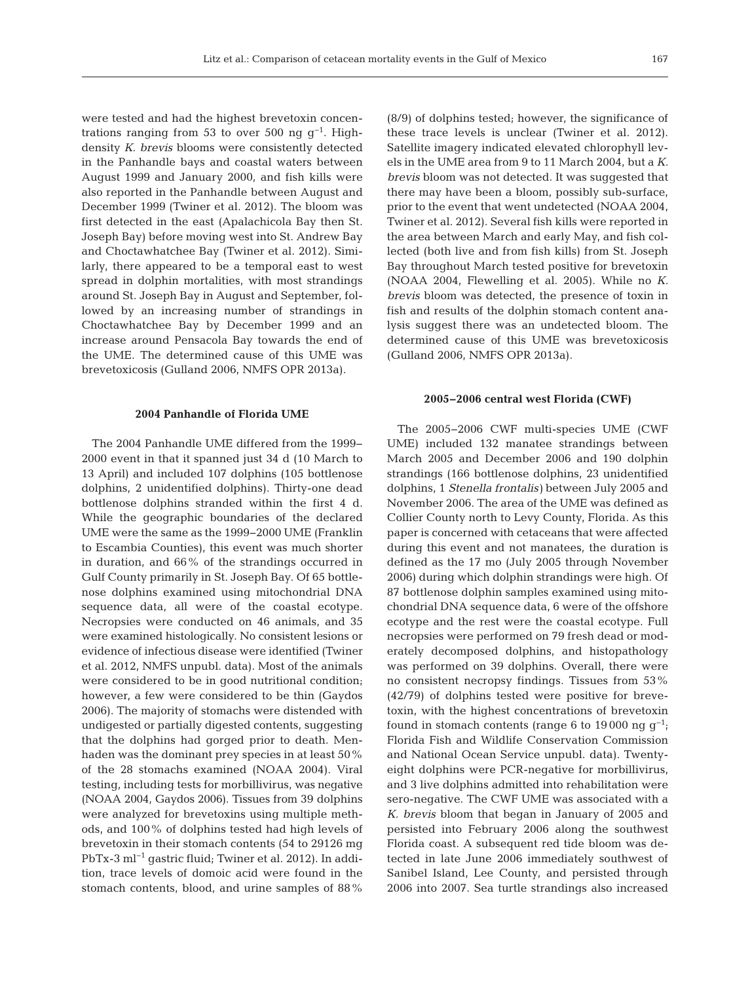were tested and had the highest brevetoxin concentrations ranging from 53 to over 500 ng  $q^{-1}$ . Highdensity *K. brevis* blooms were consistently detected in the Panhandle bays and coastal waters between August 1999 and January 2000, and fish kills were also reported in the Panhandle between August and December 1999 (Twiner et al. 2012). The bloom was first detected in the east (Apalachicola Bay then St. Joseph Bay) before moving west into St. Andrew Bay and Choctawhatchee Bay (Twiner et al. 2012). Similarly, there appeared to be a temporal east to west spread in dolphin mortalities, with most strandings around St. Joseph Bay in August and September, followed by an increasing number of strandings in Choctawhatchee Bay by December 1999 and an increase around Pensacola Bay towards the end of the UME. The determined cause of this UME was brevetoxicosis (Gulland 2006, NMFS OPR 2013a).

## **2004 Panhandle of Florida UME**

The 2004 Panhandle UME differed from the 1999− 2000 event in that it spanned just 34 d (10 March to 13 April) and included 107 dolphins (105 bottlenose dolphins, 2 unidentified dolphins). Thirty-one dead bottlenose dolphins stranded within the first 4 d. While the geographic boundaries of the declared UME were the same as the 1999−2000 UME (Franklin to Escambia Counties), this event was much shorter in duration, and 66% of the strandings occurred in Gulf County primarily in St. Joseph Bay. Of 65 bottlenose dolphins examined using mitochondrial DNA sequence data, all were of the coastal ecotype. Necropsies were conducted on 46 animals, and 35 were examined histologically. No consistent lesions or evidence of infectious disease were identified (Twiner et al. 2012, NMFS unpubl. data). Most of the animals were considered to be in good nutritional condition; however, a few were considered to be thin (Gaydos 2006). The majority of stomachs were distended with undigested or partially digested contents, suggesting that the dolphins had gorged prior to death. Menhaden was the dominant prey species in at least 50% of the 28 stomachs examined (NOAA 2004). Viral testing, including tests for morbillivirus, was negative (NOAA 2004, Gaydos 2006). Tissues from 39 dolphins were analyzed for brevetoxins using multiple methods, and 100% of dolphins tested had high levels of brevetoxin in their stomach contents (54 to 29126 mg PbTx-3 ml−1 gastric fluid; Twiner et al. 2012). In addition, trace levels of domoic acid were found in the stomach contents, blood, and urine samples of 88% (8/9) of dolphins tested; however, the significance of these trace levels is unclear (Twiner et al. 2012). Satellite imagery indicated elevated chlorophyll levels in the UME area from 9 to 11 March 2004, but a *K. brevis* bloom was not detected. It was suggested that there may have been a bloom, possibly sub-surface, prior to the event that went undetected (NOAA 2004, Twiner et al. 2012). Several fish kills were reported in the area between March and early May, and fish collected (both live and from fish kills) from St. Joseph Bay throughout March tested positive for brevetoxin (NOAA 2004, Flewelling et al. 2005). While no *K. brevis* bloom was detected, the presence of toxin in fish and results of the dolphin stomach content ana lysis suggest there was an undetected bloom. The determined cause of this UME was brevetoxicosis (Gulland 2006, NMFS OPR 2013a).

## **2005−2006 central west Florida (CWF)**

The 2005−2006 CWF multi-species UME (CWF UME) included 132 manatee strandings between March 2005 and December 2006 and 190 dolphin strandings (166 bottlenose dolphins, 23 unidentified dolphins, 1 *Stenella frontalis)* between July 2005 and November 2006. The area of the UME was defined as Collier County north to Levy County, Florida. As this paper is concerned with cetaceans that were affected during this event and not manatees, the duration is defined as the 17 mo (July 2005 through November 2006) during which dolphin strandings were high. Of 87 bottlenose dolphin samples examined using mitochondrial DNA sequence data, 6 were of the offshore ecotype and the rest were the coastal ecotype. Full necropsies were performed on 79 fresh dead or moderately decomposed dolphins, and histopathology was performed on 39 dolphins. Overall, there were no consistent necropsy findings. Tissues from 53% (42/79) of dolphins tested were positive for brevetoxin, with the highest concentrations of brevetoxin found in stomach contents (range 6 to 19 000 ng  $g^{-1}$ ; Florida Fish and Wildlife Conservation Commission and National Ocean Service unpubl. data). Twentyeight dolphins were PCR-negative for morbillivirus, and 3 live dolphins admitted into rehabilitation were sero-negative. The CWF UME was associated with a *K. brevis* bloom that began in January of 2005 and persisted into February 2006 along the southwest Florida coast. A subsequent red tide bloom was de tected in late June 2006 immediately southwest of Sanibel Island, Lee County, and persisted through 2006 into 2007. Sea turtle strandings also increased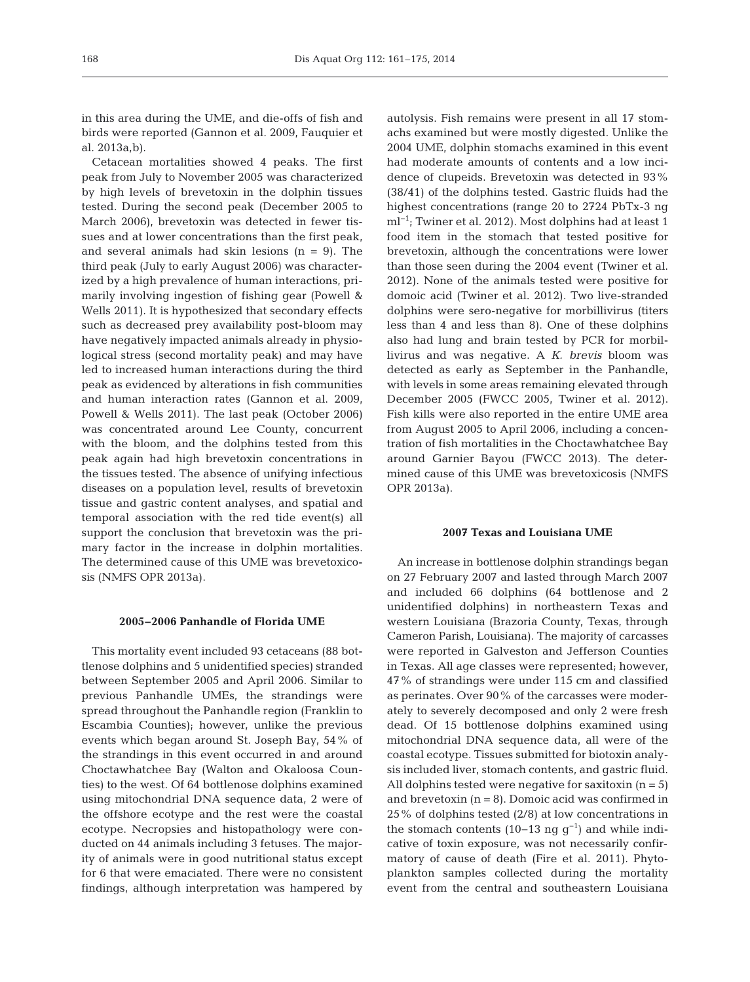in this area during the UME, and die-offs of fish and birds were reported (Gannon et al. 2009, Fauquier et al. 2013a,b).

Cetacean mortalities showed 4 peaks. The first peak from July to November 2005 was characterized by high levels of brevetoxin in the dolphin tissues tested. During the second peak (December 2005 to March 2006), brevetoxin was detected in fewer tissues and at lower concentrations than the first peak, and several animals had skin lesions  $(n = 9)$ . The third peak (July to early August 2006) was characterized by a high prevalence of human interactions, primarily involving ingestion of fishing gear (Powell & Wells 2011). It is hypothesized that secondary effects such as decreased prey availability post-bloom may have negatively impacted animals already in physiological stress (second mortality peak) and may have led to increased human interactions during the third peak as evidenced by alterations in fish communities and human interaction rates (Gannon et al. 2009, Powell & Wells 2011). The last peak (October 2006) was concentrated around Lee County, concurrent with the bloom, and the dolphins tested from this peak again had high brevetoxin concentrations in the tissues tested. The absence of unifying infectious diseases on a population level, results of brevetoxin tissue and gastric content analyses, and spatial and temporal association with the red tide event(s) all support the conclusion that brevetoxin was the primary factor in the increase in dolphin mortalities. The determined cause of this UME was brevetoxicosis (NMFS OPR 2013a).

## **2005−2006 Panhandle of Florida UME**

This mortality event included 93 cetaceans (88 bottlenose dolphins and 5 unidentified species) stranded between September 2005 and April 2006. Similar to previous Panhandle UMEs, the strandings were spread throughout the Panhandle region (Franklin to Escambia Counties); however, unlike the previous events which began around St. Joseph Bay, 54% of the strandings in this event occurred in and around Choctawhatchee Bay (Walton and Okaloosa Counties) to the west. Of 64 bottlenose dolphins examined using mitochondrial DNA sequence data, 2 were of the offshore ecotype and the rest were the coastal ecotype. Necropsies and histopathology were conducted on 44 animals including 3 fetuses. The majority of animals were in good nutritional status except for 6 that were emaciated. There were no consistent findings, although interpretation was hampered by

autolysis. Fish remains were present in all 17 stomachs examined but were mostly digested. Unlike the 2004 UME, dolphin stomachs examined in this event had moderate amounts of contents and a low incidence of clupeids. Brevetoxin was detected in 93% (38/41) of the dolphins tested. Gastric fluids had the highest concentrations (range 20 to 2724 PbTx-3 ng ml<sup>-1</sup>; Twiner et al. 2012). Most dolphins had at least 1 food item in the stomach that tested positive for brevetoxin, although the concentrations were lower than those seen during the 2004 event (Twiner et al. 2012). None of the animals tested were positive for domoic acid (Twiner et al. 2012). Two live-stranded dolphins were sero-negative for morbillivirus (titers less than 4 and less than 8). One of these dolphins also had lung and brain tested by PCR for morbillivirus and was negative. A *K. brevis* bloom was detected as early as September in the Panhandle, with levels in some areas remaining elevated through December 2005 (FWCC 2005, Twiner et al. 2012). Fish kills were also reported in the entire UME area from August 2005 to April 2006, including a concentration of fish mortalities in the Choctawhatchee Bay around Garnier Bayou (FWCC 2013). The determined cause of this UME was brevetoxicosis (NMFS OPR 2013a).

## **2007 Texas and Louisiana UME**

An increase in bottlenose dolphin strandings began on 27 February 2007 and lasted through March 2007 and included 66 dolphins (64 bottlenose and 2 unidentified dolphins) in northeastern Texas and western Louisiana (Brazoria County, Texas, through Cameron Parish, Louisiana). The majority of carcasses were reported in Galveston and Jefferson Counties in Texas. All age classes were represented; however, 47% of strandings were under 115 cm and classified as perinates. Over 90% of the carcasses were moderately to severely decomposed and only 2 were fresh dead. Of 15 bottlenose dolphins examined using mitochondrial DNA sequence data, all were of the coastal ecotype. Tissues submitted for biotoxin analysis included liver, stomach contents, and gastric fluid. All dolphins tested were negative for saxitoxin  $(n = 5)$ and brevetoxin  $(n = 8)$ . Domoic acid was confirmed in 25% of dolphins tested (2/8) at low concentrations in the stomach contents (10−13 ng  $g^{-1}$ ) and while indicative of toxin exposure, was not necessarily confirmatory of cause of death (Fire et al. 2011). Phytoplankton samples collected during the mortality event from the central and southeastern Louisiana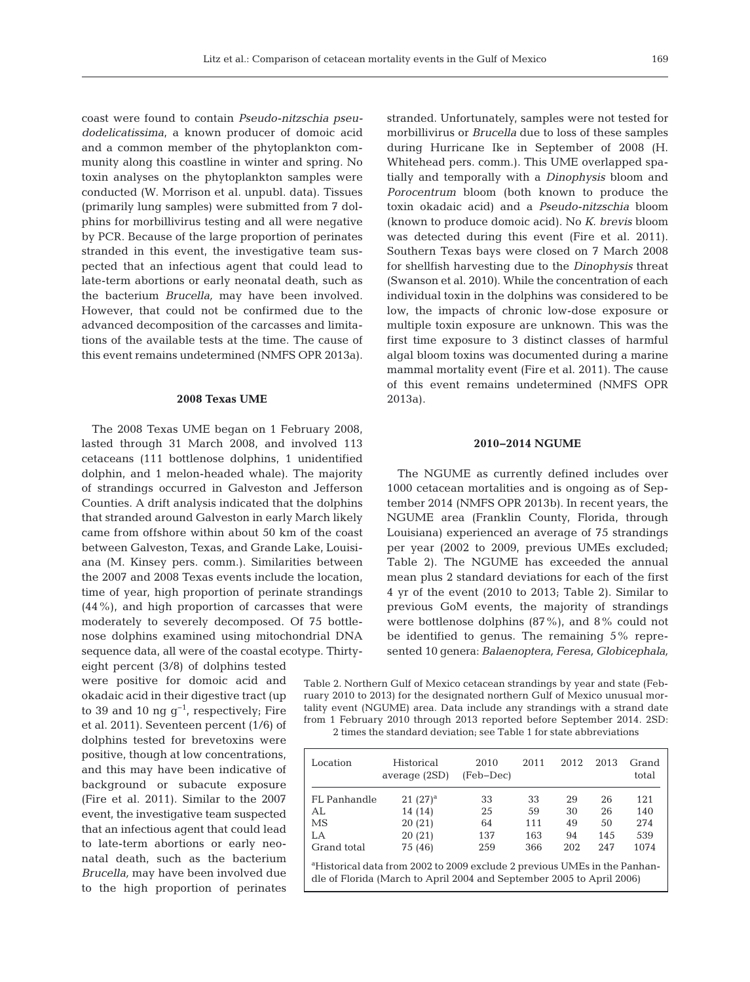coast were found to contain *Pseudo-nitzschia pseudodelicatissima*, a known producer of domoic acid and a common member of the phytoplankton community along this coastline in winter and spring. No toxin analyses on the phytoplankton samples were conducted (W. Morrison et al. unpubl. data). Tissues (primarily lung samples) were submitted from 7 dolphins for morbillivirus testing and all were negative by PCR. Because of the large proportion of perinates stranded in this event, the investigative team suspected that an infectious agent that could lead to late-term abortions or early neonatal death, such as the bacterium *Brucella,* may have been involved. However, that could not be confirmed due to the advanced decomposition of the carcasses and limitations of the available tests at the time. The cause of this event remains undetermined (NMFS OPR 2013a).

## **2008 Texas UME**

The 2008 Texas UME began on 1 February 2008, lasted through 31 March 2008, and involved 113 cetaceans (111 bottlenose dolphins, 1 unidentified dolphin, and 1 melon-headed whale). The majority of strandings occurred in Galveston and Jefferson Counties. A drift analysis indicated that the dolphins that stranded around Galveston in early March likely came from offshore within about 50 km of the coast between Galveston, Texas, and Grande Lake, Louisiana (M. Kinsey pers. comm.). Similarities between the 2007 and 2008 Texas events include the location, time of year, high proportion of perinate strandings (44%), and high proportion of carcasses that were moderately to severely decomposed. Of 75 bottlenose dolphins examined using mitochondrial DNA sequence data, all were of the coastal ecotype. Thirty-

eight percent (3/8) of dolphins tested were positive for domoic acid and okadaic acid in their digestive tract (up to 39 and 10 ng  $g^{-1}$ , respectively; Fire et al. 2011). Seventeen percent (1/6) of dolphins tested for brevetoxins were positive, though at low concentrations, and this may have been indicative of background or subacute exposure (Fire et al. 2011). Similar to the 2007 event, the investigative team suspected that an infectious agent that could lead to late-term abortions or early neonatal death, such as the bacterium *Brucella,* may have been involved due to the high proportion of perinates

stranded. Unfortunately, samples were not tested for morbillivirus or *Brucella* due to loss of these samples during Hurricane Ike in September of 2008 (H. Whitehead pers. comm.). This UME overlapped spatially and temporally with a *Dinophysis* bloom and *Porocentrum* bloom (both known to produce the toxin okadaic acid) and a *Pseudo-nitzschia* bloom (known to produce domoic acid). No *K. brevis* bloom was detected during this event (Fire et al. 2011). Southern Texas bays were closed on 7 March 2008 for shellfish harvesting due to the *Dinophysis* threat (Swanson et al. 2010). While the concentration of each individual toxin in the dolphins was considered to be low, the impacts of chronic low-dose exposure or multiple toxin exposure are unknown. This was the first time exposure to 3 distinct classes of harmful algal bloom toxins was documented during a marine mammal mortality event (Fire et al. 2011). The cause of this event remains undetermined (NMFS OPR 2013a).

## **2010−2014 NGUME**

The NGUME as currently defined includes over 1000 cetacean mortalities and is ongoing as of September 2014 (NMFS OPR 2013b). In recent years, the NGUME area (Franklin County, Florida, through Louisiana) experienced an average of 75 strandings per year (2002 to 2009, previous UMEs excluded; Table 2). The NGUME has exceeded the annual mean plus 2 standard deviations for each of the first 4 yr of the event (2010 to 2013; Table 2). Similar to previous GoM events, the majority of strandings were bottlenose dolphins (87%), and 8% could not be identified to genus. The remaining 5% represented 10 genera: *Balaenoptera, Feresa, Globicephala,*

Table 2. Northern Gulf of Mexico cetacean strandings by year and state (February 2010 to 2013) for the designated northern Gulf of Mexico unusual mortality event (NGUME) area. Data include any strandings with a strand date from 1 February 2010 through 2013 reported before September 2014. 2SD:

2 times the standard deviation; see Table 1 for state abbreviations

| Location                                                                                                                                                       | Historical<br>average (2SD) | 2010<br>(Feb-Dec) | 2011 | 2012 | 2013 | Grand<br>total |  |  |  |
|----------------------------------------------------------------------------------------------------------------------------------------------------------------|-----------------------------|-------------------|------|------|------|----------------|--|--|--|
| FL Panhandle                                                                                                                                                   | $21(27)^a$                  | 33                | 33   | 29   | 26   | 121            |  |  |  |
| AL                                                                                                                                                             | 14 (14)                     | 25                | 59   | 30   | 26   | 140            |  |  |  |
| MS.                                                                                                                                                            | 20(21)                      | 64                | 111  | 49   | 50   | 274            |  |  |  |
| LA                                                                                                                                                             | 20(21)                      | 137               | 163  | 94   | 145  | 539            |  |  |  |
| Grand total                                                                                                                                                    | 75 (46)                     | 259               | 366  | 202  | 2.47 | 1074           |  |  |  |
| <sup>a</sup> Historical data from 2002 to 2009 exclude 2 previous UMEs in the Panhan-<br>dle of Florida (March to April 2004 and September 2005 to April 2006) |                             |                   |      |      |      |                |  |  |  |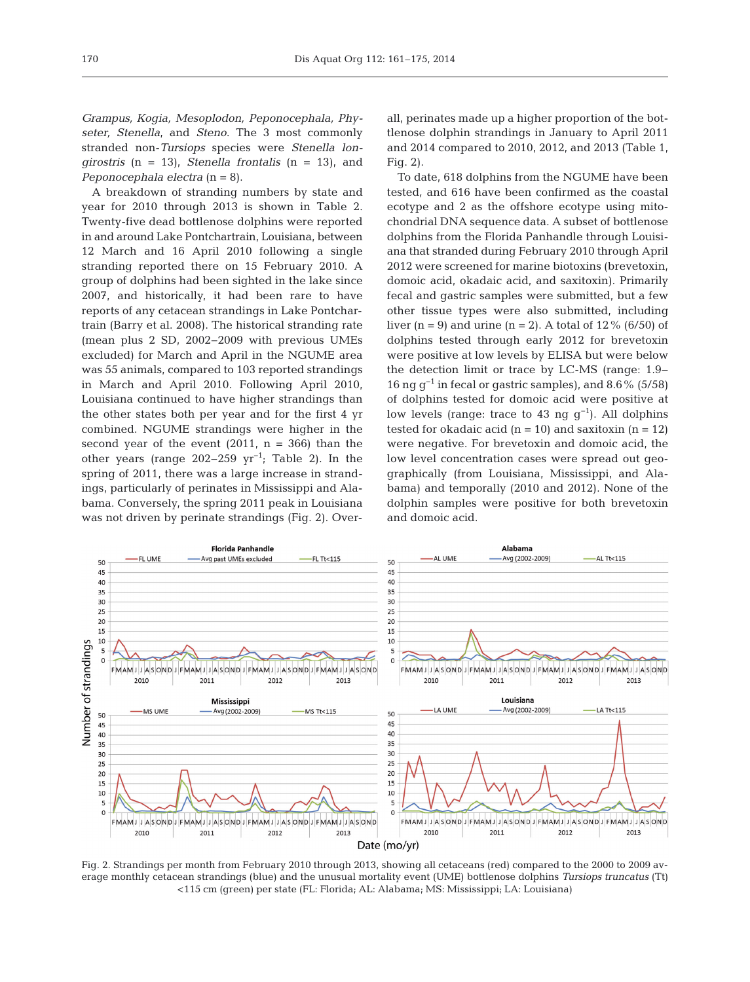*Grampus, Kogia, Mesoplodon, Peponocephala, Physeter, Stenella*, and *Steno*. The 3 most commonly stranded non-*Tursiops* species were *Stenella longirostris* (n = 13), *Stenella frontalis* (n = 13), and *Peponocephala electra* (n = 8).

A breakdown of stranding numbers by state and year for 2010 through 2013 is shown in Table 2. Twenty-five dead bottlenose dolphins were reported in and around Lake Pontchartrain, Louisiana, between 12 March and 16 April 2010 following a single stranding reported there on 15 February 2010. A group of dolphins had been sighted in the lake since 2007, and historically, it had been rare to have reports of any cetacean strandings in Lake Pontchartrain (Barry et al. 2008). The historical stranding rate (mean plus 2 SD, 2002−2009 with previous UMEs excluded) for March and April in the NGUME area was 55 animals, compared to 103 reported strandings in March and April 2010. Following April 2010, Louisiana continued to have higher strandings than the other states both per year and for the first 4 yr combined. NGUME strandings were higher in the second year of the event  $(2011, n = 366)$  than the other years (range 202–259  $yr^{-1}$ ; Table 2). In the spring of 2011, there was a large increase in strandings, particularly of perinates in Mississippi and Alabama. Conversely, the spring 2011 peak in Louisiana was not driven by perinate strandings (Fig. 2). Overall, perinates made up a higher proportion of the bottlenose dolphin strandings in January to April 2011 and 2014 compared to 2010, 2012, and 2013 (Table 1, Fig. 2).

To date, 618 dolphins from the NGUME have been tested, and 616 have been confirmed as the coastal ecotype and 2 as the offshore ecotype using mitochondrial DNA sequence data. A subset of bottlenose dolphins from the Florida Panhandle through Louisiana that stranded during February 2010 through April 2012 were screened for marine biotoxins (brevetoxin, domoic acid, okadaic acid, and saxitoxin). Primarily fecal and gastric samples were submitted, but a few other tissue types were also submitted, including liver  $(n = 9)$  and urine  $(n = 2)$ . A total of 12% (6/50) of dolphins tested through early 2012 for brevetoxin were positive at low levels by ELISA but were below the detection limit or trace by LC-MS (range: 1.9− 16 ng  $q^{-1}$  in fecal or gastric samples), and 8.6% (5/58) of dolphins tested for domoic acid were positive at low levels (range: trace to 43 ng  $g^{-1}$ ). All dolphins tested for okadaic acid  $(n = 10)$  and saxitoxin  $(n = 12)$ were negative. For brevetoxin and domoic acid, the low level concentration cases were spread out geographically (from Louisiana, Mississippi, and Alabama) and temporally (2010 and 2012). None of the dolphin samples were positive for both brevetoxin and domoic acid.



Fig. 2. Strandings per month from February 2010 through 2013, showing all cetaceans (red) compared to the 2000 to 2009 average monthly cetacean strandings (blue) and the unusual mortality event (UME) bottlenose dolphins *Tursiops truncatus* (Tt) <115 cm (green) per state (FL: Florida; AL: Alabama; MS: Mississippi; LA: Louisiana)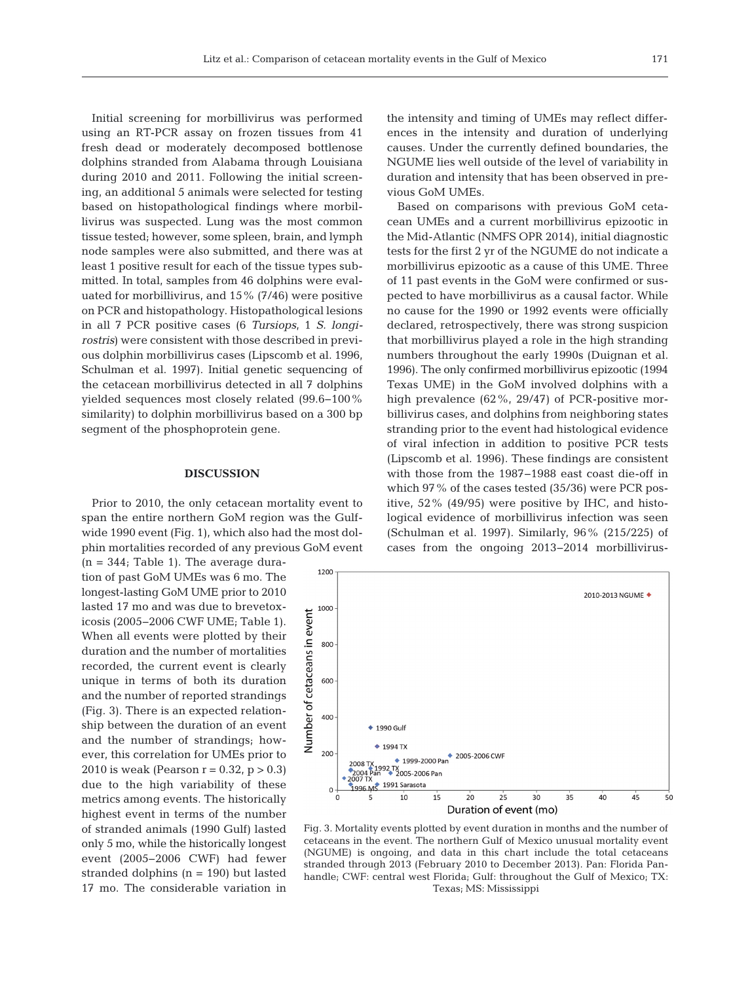Initial screening for morbillivirus was performed using an RT-PCR assay on frozen tissues from 41 fresh dead or moderately decomposed bottlenose dolphins stranded from Alabama through Louisiana during 2010 and 2011. Following the initial screening, an additional 5 animals were selected for testing based on histopathological findings where morbillivirus was suspected. Lung was the most common tissue tested; however, some spleen, brain, and lymph node samples were also submitted, and there was at least 1 positive result for each of the tissue types submitted. In total, samples from 46 dolphins were evaluated for morbillivirus, and 15% (7/46) were positive on PCR and histopathology. Histopathological lesions in all 7 PCR positive cases (6 *Tursiops*, 1 *S. longi rostris*) were consistent with those described in previous dolphin morbillivirus cases (Lipscomb et al. 1996, Schulman et al. 1997). Initial genetic sequencing of the cetacean morbillivirus detected in all 7 dolphins yielded sequences most closely related (99.6− 100% similarity) to dolphin morbillivirus based on a 300 bp segment of the phosphoprotein gene.

## **DISCUSSION**

Prior to 2010, the only cetacean mortality event to span the entire northern GoM region was the Gulfwide 1990 event (Fig. 1), which also had the most dolphin mortalities recorded of any previous GoM event

 $(n = 344;$  Table 1). The average duration of past GoM UMEs was 6 mo. The longest-lasting GoM UME prior to 2010 lasted 17 mo and was due to brevetoxicosis (2005− 2006 CWF UME; Table 1). When all events were plotted by their duration and the number of mortalities recorded, the current event is clearly unique in terms of both its duration and the number of reported strandings (Fig. 3). There is an ex pected relationship between the duration of an event and the number of strandings; however, this correlation for UMEs prior to 2010 is weak (Pearson  $r = 0.32$ ,  $p > 0.3$ ) due to the high variability of these metrics among events. The historically highest event in terms of the number of stranded animals (1990 Gulf) lasted only 5 mo, while the historically longest event (2005−2006 CWF) had fewer stranded dolphins  $(n = 190)$  but lasted 17 mo. The considerable variation in

the intensity and timing of UMEs may reflect differences in the intensity and duration of underlying causes. Under the currently defined boundaries, the NGUME lies well outside of the level of variability in duration and intensity that has been observed in previous GoM UMEs.

Based on comparisons with previous GoM cetacean UMEs and a current morbillivirus epizootic in the Mid-Atlantic (NMFS OPR 2014), initial diagnostic tests for the first 2 yr of the NGUME do not indicate a morbillivirus epizootic as a cause of this UME. Three of 11 past events in the GoM were confirmed or suspected to have morbillivirus as a causal factor. While no cause for the 1990 or 1992 events were officially declared, retrospectively, there was strong suspicion that morbillivirus played a role in the high stranding numbers throughout the early 1990s (Duignan et al. 1996). The only confirmed morbillivirus epizootic (1994 Texas UME) in the GoM involved dolphins with a high prevalence (62%, 29/47) of PCR-positive morbillivirus cases, and dolphins from neighboring states stranding prior to the event had histological evidence of viral infection in addition to positive PCR tests (Lipscomb et al. 1996). These findings are consistent with those from the 1987−1988 east coast die-off in which 97% of the cases tested (35/36) were PCR positive, 52% (49/95) were positive by IHC, and histological evidence of morbillivirus infection was seen (Schulman et al. 1997). Similarly, 96% (215/225) of cases from the ongoing 2013−2014 morbillivirus-



Fig. 3. Mortality events plotted by event duration in months and the number of cetaceans in the event. The northern Gulf of Mexico unusual mortality event (NGUME) is ongoing, and data in this chart include the total cetaceans stranded through 2013 (February 2010 to December 2013). Pan: Florida Panhandle; CWF: central west Florida; Gulf: throughout the Gulf of Mexico; TX: Texas; MS: Mississippi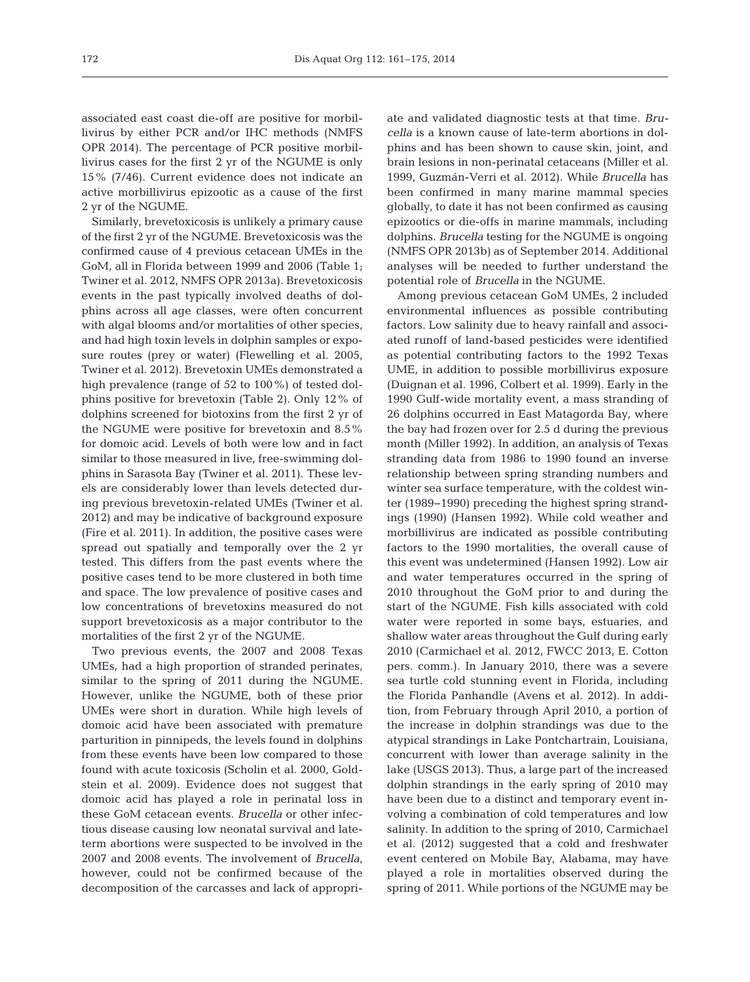associated east coast die-off are positive for morbillivirus by either PCR and/or IHC methods (NMFS OPR 2014). The percentage of PCR positive morbillivirus cases for the first 2 yr of the NGUME is only 15% (7/46). Current evidence does not indicate an active morbillivirus epizootic as a cause of the first 2 yr of the NGUME.

Similarly, brevetoxicosis is unlikely a primary cause of the first 2 yr of the NGUME. Brevetoxicosis was the confirmed cause of 4 previous cetacean UMEs in the GoM, all in Florida between 1999 and 2006 (Table 1; Twiner et al. 2012, NMFS OPR 2013a). Brevetoxicosis events in the past typically involved deaths of dolphins across all age classes, were often concurrent with algal blooms and/or mortalities of other species, and had high toxin levels in dolphin samples or exposure routes (prey or water) (Flewelling et al. 2005, Twiner et al. 2012). Brevetoxin UMEs demonstrated a high prevalence (range of 52 to 100%) of tested dolphins positive for brevetoxin (Table 2). Only 12% of dolphins screened for biotoxins from the first 2 yr of the NGUME were positive for brevetoxin and 8.5% for domoic acid. Levels of both were low and in fact similar to those measured in live, free-swimming dolphins in Sarasota Bay (Twiner et al. 2011). These levels are considerably lower than levels detected during previous brevetoxin-related UMEs (Twiner et al. 2012) and may be indicative of background exposure (Fire et al. 2011). In addition, the positive cases were spread out spatially and temporally over the 2 yr tested. This differs from the past events where the positive cases tend to be more clustered in both time and space. The low prevalence of positive cases and low concentrations of brevetoxins measured do not support brevetoxicosis as a major contributor to the mortalities of the first 2 yr of the NGUME.

Two previous events, the 2007 and 2008 Texas UMEs, had a high proportion of stranded perinates, similar to the spring of 2011 during the NGUME. However, unlike the NGUME, both of these prior UMEs were short in duration. While high levels of domoic acid have been associated with premature parturition in pinnipeds, the levels found in dolphins from these events have been low compared to those found with acute toxicosis (Scholin et al. 2000, Goldstein et al. 2009). Evidence does not suggest that domoic acid has played a role in perinatal loss in these GoM cetacean events. *Brucella* or other infectious disease causing low neonatal survival and lateterm abortions were suspected to be involved in the 2007 and 2008 events. The involvement of *Brucella*, however, could not be confirmed because of the decomposition of the carcasses and lack of appropriate and validated diagnostic tests at that time. *Brucella* is a known cause of late-term abortions in dolphins and has been shown to cause skin, joint, and brain lesions in non-perinatal cetaceans (Miller et al. 1999, Guzmán-Verri et al. 2012). While *Brucella* has been confirmed in many marine mammal species globally, to date it has not been confirmed as causing epizootics or die-offs in marine mammals, including dolphins. *Brucella* testing for the NGUME is ongoing (NMFS OPR 2013b) as of September 2014. Additional analyses will be needed to further understand the potential role of *Brucella* in the NGUME.

Among previous cetacean GoM UMEs, 2 included environmental influences as possible contributing factors. Low salinity due to heavy rainfall and associated runoff of land-based pesticides were identified as potential contributing factors to the 1992 Texas UME, in addition to possible morbillivirus exposure (Duignan et al. 1996, Colbert et al. 1999). Early in the 1990 Gulf-wide mortality event, a mass stranding of 26 dolphins occurred in East Matagorda Bay, where the bay had frozen over for 2.5 d during the previous month (Miller 1992). In addition, an analysis of Texas stranding data from 1986 to 1990 found an inverse relationship between spring stranding numbers and winter sea surface temperature, with the coldest winter (1989−1990) preceding the highest spring strandings (1990) (Hansen 1992). While cold weather and morbillivirus are indicated as possible contributing factors to the 1990 mortalities, the overall cause of this event was undetermined (Hansen 1992). Low air and water temperatures occurred in the spring of 2010 throughout the GoM prior to and during the start of the NGUME. Fish kills associated with cold water were reported in some bays, estuaries, and shallow water areas throughout the Gulf during early 2010 (Carmichael et al. 2012, FWCC 2013, E. Cotton pers. comm.). In January 2010, there was a severe sea turtle cold stunning event in Florida, including the Florida Panhandle (Avens et al. 2012). In addition, from February through April 2010, a portion of the increase in dolphin strandings was due to the atypical strandings in Lake Pontchartrain, Louisiana, concurrent with lower than average salinity in the lake (USGS 2013). Thus, a large part of the increased dolphin strandings in the early spring of 2010 may have been due to a distinct and temporary event in volving a combination of cold temperatures and low salinity. In addition to the spring of 2010, Carmichael et al. (2012) suggested that a cold and freshwater event centered on Mobile Bay, Alabama, may have played a role in mortalities observed during the spring of 2011. While portions of the NGUME may be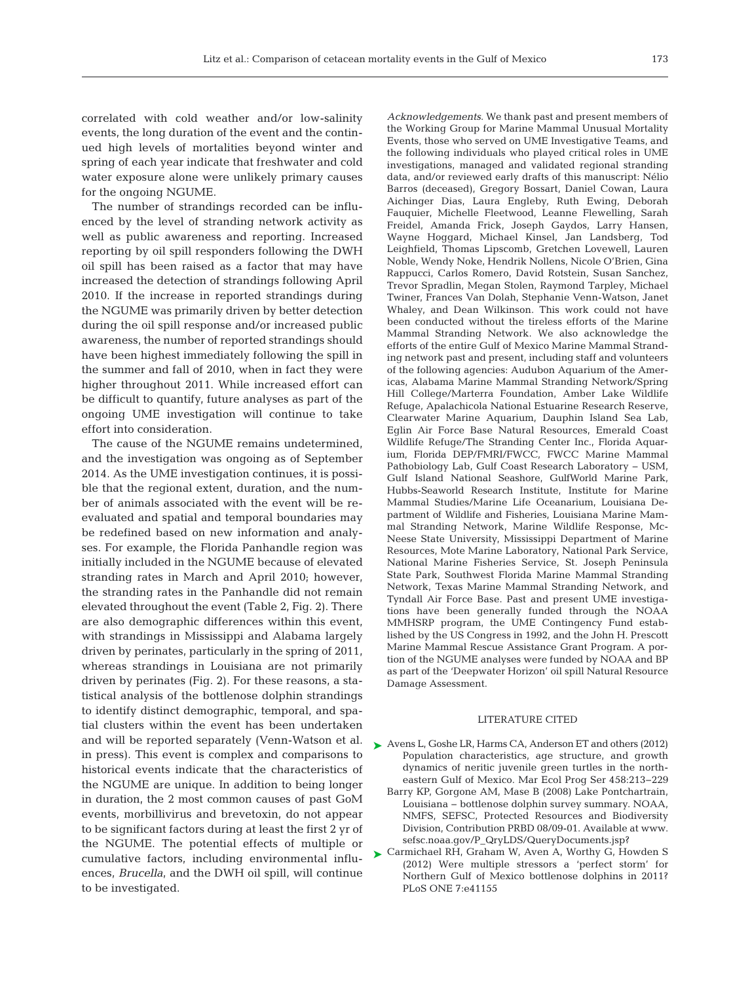correlated with cold weather and/or low-salinity events, the long duration of the event and the continued high levels of mortalities beyond winter and spring of each year indicate that freshwater and cold water exposure alone were unlikely primary causes for the ongoing NGUME.

The number of strandings recorded can be influenced by the level of stranding network activity as well as public awareness and reporting. Increased reporting by oil spill responders following the DWH oil spill has been raised as a factor that may have increased the detection of strandings following April 2010. If the increase in reported strandings during the NGUME was primarily driven by better detection during the oil spill response and/or increased public awareness, the number of reported strandings should have been highest immediately following the spill in the summer and fall of 2010, when in fact they were higher throughout 2011. While increased effort can be difficult to quantify, future analyses as part of the ongoing UME investigation will continue to take effort into consideration.

The cause of the NGUME remains undetermined, and the investigation was ongoing as of September 2014. As the UME investigation continues, it is possible that the regional extent, duration, and the number of animals associated with the event will be reevaluated and spatial and temporal boundaries may be redefined based on new information and analyses. For example, the Florida Panhandle region was initially included in the NGUME because of elevated stranding rates in March and April 2010; however, the stranding rates in the Panhandle did not remain elevated throughout the event (Table 2, Fig. 2). There are also demographic differences within this event, with strandings in Mississippi and Alabama largely driven by perinates, particularly in the spring of 2011, whereas strandings in Louisiana are not primarily driven by perinates (Fig. 2). For these reasons, a statistical analysis of the bottlenose dolphin strandings to identify distinct demographic, temporal, and spatial clusters within the event has been undertaken and will be reported separately (Venn- Watson et al. in press). This event is complex and comparisons to historical events indicate that the characteristics of the NGUME are unique. In addition to being longer in duration, the 2 most common causes of past GoM events, morbillivirus and brevetoxin, do not appear to be significant factors during at least the first 2 yr of the NGUME. The potential effects of multiple or cumulative factors, including environmental influences, *Brucella*, and the DWH oil spill, will continue to be investigated.

*Acknowledgements*. We thank past and present members of the Working Group for Marine Mammal Unusual Mortality Events, those who served on UME Investigative Teams, and the following individuals who played critical roles in UME investigations, managed and validated regional stranding data, and/or reviewed early drafts of this manuscript: Nélio Barros (deceased), Gregory Bossart, Daniel Cowan, Laura Aichinger Dias, Laura Engleby, Ruth Ewing, Deborah Fauquier, Michelle Fleetwood, Leanne Flewelling, Sarah Freidel, Amanda Frick, Joseph Gaydos, Larry Hansen, Wayne Hoggard, Michael Kinsel, Jan Landsberg, Tod Leighfield, Thomas Lipscomb, Gretchen Lovewell, Lauren Noble, Wendy Noke, Hendrik Nollens, Nicole O'Brien, Gina Rappucci, Carlos Romero, David Rotstein, Susan Sanchez, Trevor Spradlin, Megan Stolen, Raymond Tarpley, Michael Twiner, Frances Van Dolah, Stephanie Venn-Watson, Janet Whaley, and Dean Wilkinson. This work could not have been conducted without the tireless efforts of the Marine Mammal Stranding Network. We also acknowledge the efforts of the entire Gulf of Mexico Marine Mammal Stranding network past and present, including staff and volunteers of the following agencies: Audubon Aquarium of the Americas, Alabama Marine Mammal Stranding Network/Spring Hill College/Marterra Foundation, Amber Lake Wildlife Refuge, Apalachicola National Estuarine Research Reserve, Clearwater Marine Aquarium, Dauphin Island Sea Lab, Eglin Air Force Base Natural Resources, Emerald Coast Wildlife Refuge/The Stranding Center Inc., Florida Aquarium, Florida DEP/FMRI/FWCC, FWCC Marine Mammal Pathobiology Lab, Gulf Coast Research Laboratory − USM, Gulf Island National Seashore, GulfWorld Marine Park, Hubbs-Seaworld Research Institute, Institute for Marine Mammal Studies/Marine Life Oceanarium, Louisiana De partment of Wildlife and Fisheries, Louisiana Marine Mammal Stranding Network, Marine Wildlife Response, Mc - Neese State University, Mississippi Department of Marine Resources, Mote Marine Laboratory, National Park Service, National Marine Fisheries Service, St. Joseph Peninsula State Park, Southwest Florida Marine Mammal Stranding Network, Texas Marine Mammal Stranding Network, and Tyndall Air Force Base. Past and present UME investigations have been generally funded through the NOAA MMHSRP program, the UME Contingency Fund established by the US Congress in 1992, and the John H. Prescott Marine Mammal Rescue Assistance Grant Program. A portion of the NGUME analyses were funded by NOAA and BP as part of the 'Deepwater Horizon' oil spill Natural Resource Damage Assessment.

### LITERATURE CITED

- ▶ [Avens L, Goshe LR, Harms CA, Anderson ET and others \(2012\)](http://dx.doi.org/10.3354/meps09720) Population characteristics, age structure, and growth dynamics of neritic juvenile green turtles in the northeastern Gulf of Mexico. Mar Ecol Prog Ser 458:213-229
	- Barry KP, Gorgone AM, Mase B (2008) Lake Pontchartrain, Louisiana − bottlenose dolphin survey summary. NOAA, NMFS, SEFSC, Protected Resources and Biodiversity Division, Contribution PRBD 08/09-01. Available at www. sefsc.noaa.gov/P\_QryLDS/QueryDocuments.jsp?
- ▶ [Carmichael RH, Graham W, Aven A, Worthy G, Howden S](http://dx.doi.org/10.1371/journal.pone.0041155) (2012) Were multiple stressors a 'perfect storm' for Northern Gulf of Mexico bottlenose dolphins in 2011? PLoS ONE 7:e41155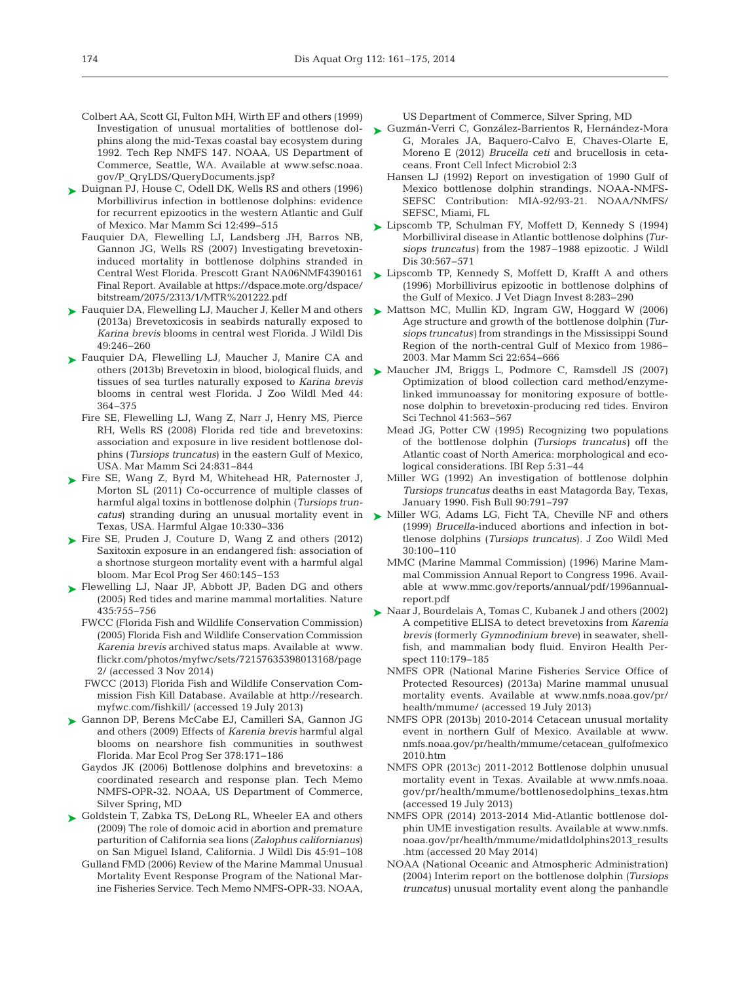- Colbert AA, Scott GI, Fulton MH, Wirth EF and others (1999) phins along the mid-Texas coastal bay ecosystem during 1992. Tech Rep NMFS 147. NOAA, US Department of Commerce, Seattle, WA. Available at www.sefsc.noaa. gov/P\_QryLDS/QueryDocuments.jsp?
- ► [Duignan PJ, House C, Odell DK, Wells RS and others \(1996\)](http://dx.doi.org/10.1111/j.1748-7692.1996.tb00063.x) Morbillivirus infection in bottlenose dolphins: evidence for recurrent epizootics in the western Atlantic and Gulf of Mexico. Mar Mamm Sci 12: 499−515
	- Fauquier DA, Flewelling LJ, Landsberg JH, Barros NB, Gannon JG, Wells RS (2007) Investigating brevetoxininduced mortality in bottlenose dolphins stranded in Central West Florida. Prescott Grant NA06NMF4390161 Final Report. Available at https://dspace.mote.org/dspace/ bitstream/2075/2313/1/MTR%201222.pdf
- ► [Fauquier DA, Flewelling LJ, Maucher J, Keller M and others](http://dx.doi.org/10.7589/2011-09-270) ► [Mattson MC, Mullin KD, Ingram GW, Hoggard W \(2006\)](http://dx.doi.org/10.1111/j.1748-7692.2006.00057.x) (2013a) Brevetoxicosis in seabirds naturally exposed to *Karina brevis* blooms in central west Florida. J Wildl Dis 49: 246−260
- ▶ [Fauquier DA, Flewelling LJ, Maucher J, Manire CA and](http://dx.doi.org/10.1638/2012-0164R.1) others (2013b) Brevetoxin in blood, biological fluids, and tissues of sea turtles naturally exposed to *Karina brevis* blooms in central west Florida. J Zoo Wildl Med 44: 364−375
	- Fire SE, Flewelling LJ, Wang Z, Narr J, Henry MS, Pierce RH, Wells RS (2008) Florida red tide and brevetoxins: association and exposure in live resident bottlenose dolphins (*Tursiops truncatus*) in the eastern Gulf of Mexico, USA. Mar Mamm Sci 24: 831−844
- ▶ [Fire SE, Wang Z, Byrd M, Whitehead HR, Paternoster J,](http://dx.doi.org/10.1016/j.hal.2010.12.001) Morton SL (2011) Co-occurrence of multiple classes of harmful algal toxins in bottlenose dolphin (*Tursiops trun-*Texas, USA. Harmful Algae 10:330-336
- ► [Fire SE, Pruden J, Couture D, Wang Z and others \(2012\)](http://dx.doi.org/10.3354/meps09768) Saxitoxin exposure in an endangered fish: association of a shortnose sturgeon mortality event with a harmful algal bloom. Mar Ecol Prog Ser 460: 145−153
- ► [Flewelling LJ, Naar JP, Abbott JP, Baden DG and others](http://dx.doi.org/10.1038/nature435755a) (2005) Red tides and marine mammal mortalities. Nature 435: 755−756
	- FWCC (Florida Fish and Wildlife Conservation Commission) (2005) Florida Fish and Wildlife Conservation Commission *Karenia brevis* archived status maps. Available at www. flickr.com/photos/myfwc/sets/72157635398013168/page 2/ (accessed 3 Nov 2014)
	- FWCC (2013) Florida Fish and Wildlife Conservation Commission Fish Kill Database. Available at http://research. myfwc.com/fishkill/ (accessed 19 July 2013)
- [Gannon DP, Berens McCabe EJ, Camilleri SA, Gannon JG](http://dx.doi.org/10.3354/meps07853) ➤ and others (2009) Effects of *Karenia brevis* harmful algal blooms on nearshore fish communities in southwest Florida. Mar Ecol Prog Ser 378: 171−186
	- Gaydos JK (2006) Bottlenose dolphins and brevetoxins: a coordinated research and response plan. Tech Memo NMFS-OPR-32. NOAA, US Department of Commerce, Silver Spring, MD
- ► [Goldstein T, Zabka TS, DeLong RL, Wheeler EA and others](http://dx.doi.org/10.7589/0090-3558-45.1.91) (2009) The role of domoic acid in abortion and premature parturition of California sea lions (*Zalophus californianus*) on San Miguel Island, California. J Wildl Dis 45:91-108
	- Gulland FMD (2006) Review of the Marine Mammal Unusual Mortality Event Response Program of the National Marine Fisheries Service. Tech Memo NMFS-OPR-33. NOAA,

US Department of Commerce, Silver Spring, MD

- Investigation of unusual mortalities of bottlenose dol- Suzmán-Verri C, González-Barrientos R, Hernández-Mora G, Morales JA, Baquero-Calvo E, Chaves-Olarte E, Moreno E (2012) *Brucella ceti* and brucellosis in ceta ceans. Front Cell Infect Microbiol 2:3
	- Hansen LJ (1992) Report on investigation of 1990 Gulf of Mexico bottlenose dolphin strandings. NOAA-NMFS-SEFSC Contribution: MIA-92/93-21. NOAA/NMFS/ SEFSC, Miami, FL
	- [Lipscomb TP, Schulman FY, Moffett D, Kennedy S \(1994\)](http://dx.doi.org/10.7589/0090-3558-30.4.567) ➤ Morbilliviral disease in Atlantic bottlenose dolphins *(Tursiops truncatus)* from the 1987–1988 epizootic. J Wildl Dis 30:567-571
	- ► [Lipscomb TP, Kennedy S, Moffett D, Krafft A and others](http://dx.doi.org/10.1177/104063879600800302) (1996) Morbillivirus epizootic in bottlenose dolphins of the Gulf of Mexico. J Vet Diagn Invest 8: 283−290
	- Age structure and growth of the bottlenose dolphin *(Tursiops truncatus)* from strandings in the Mississippi Sound Region of the north-central Gulf of Mexico from 1986− 2003. Mar Mamm Sci 22:654-666
	- ▶ [Maucher JM, Briggs L, Podmore C, Ramsdell JS \(2007\)](http://dx.doi.org/10.1021/es0612605) Optimization of blood collection card method/enzymelinked immunoassay for monitoring exposure of bottlenose dolphin to brevetoxin-producing red tides. Environ Sci Technol 41:563-567
		- Mead JG, Potter CW (1995) Recognizing two populations of the bottlenose dolphin *(Tursiops truncatus)* off the Atlantic coast of North America: morphological and ecological considerations. IBI Rep 5:31-44
		- Miller WG (1992) An investigation of bottlenose dolphin *Tursiops truncatus* deaths in east Matagorda Bay, Texas, January 1990. Fish Bull 90: 791−797
- *catus*) stranding during an unusual mortality event in  $\triangleright$  [Miller WG, Adams LG, Ficht TA, Cheville NF and others](http://www.ncbi.nlm.nih.gov/entrez/query.fcgi?cmd=Retrieve&db=PubMed&list_uids=10367651&dopt=Abstract) (1999) *Brucella*-induced abortions and infection in bottlenose dolphins (*Tursiops truncatus*). J Zoo Wildl Med 30: 100−110
	- MMC (Marine Mammal Commission) (1996) Marine Mammal Commission Annual Report to Congress 1996. Available at www.mmc.gov/reports/annual/pdf/1996annualreport.pdf
	- ► [Naar J, Bourdelais A, Tomas C, Kubanek J and others \(2002\)](http://dx.doi.org/10.1289/ehp.02110179) A competitive ELISA to detect brevetoxins from *Karenia brevis* (formerly *Gymnodinium breve*) in seawater, shellfish, and mammalian body fluid. Environ Health Perspect 110:179-185
		- NMFS OPR (National Marine Fisheries Service Office of Protected Resources) (2013a) Marine mammal unusual mortality events. Available at www.nmfs.noaa.gov/pr/ health/mmume/ (accessed 19 July 2013)
		- NMFS OPR (2013b) 2010-2014 Cetacean unusual mortality event in northern Gulf of Mexico. Available at www. nmfs.noaa.gov/pr/health/mmume/cetacean\_gulfofmexico 2010.htm
		- NMFS OPR (2013c) 2011-2012 Bottlenose dolphin unusual mortality event in Texas. Available at www. nmfs. noaa. gov/ pr/health/mmume/bottlenosedolphins\_texas.htm (accessed 19 July 2013)
		- NMFS OPR (2014) 2013-2014 Mid-Atlantic bottlenose dolphin UME investigation results. Available at www. nmfs. noaa.gov/pr/health/mmume/midatldolphins2013\_results .htm (accessed 20 May 2014)
		- NOAA (National Oceanic and Atmospheric Administration) (2004) Interim report on the bottlenose dolphin *(Tursiops truncatus)* unusual mortality event along the panhandle